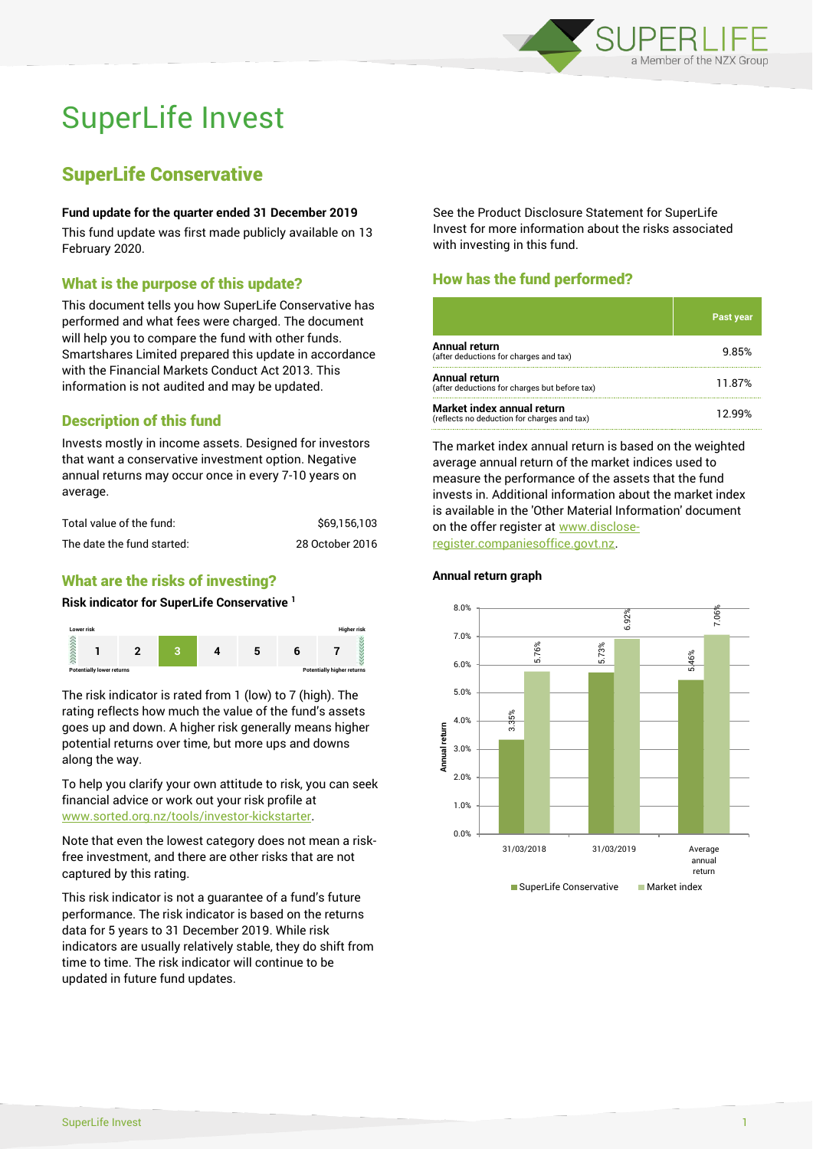

# SuperLife Invest

# SuperLife Conservative

#### **Fund update for the quarter ended 31 December 2019**

This fund update was first made publicly available on 13 February 2020.

## What is the purpose of this update?

This document tells you how SuperLife Conservative has performed and what fees were charged. The document will help you to compare the fund with other funds. Smartshares Limited prepared this update in accordance with the Financial Markets Conduct Act 2013. This information is not audited and may be updated.

# Description of this fund

Invests mostly in income assets. Designed for investors that want a conservative investment option. Negative annual returns may occur once in every 7-10 years on average.

| Total value of the fund:   | \$69.156.103    |
|----------------------------|-----------------|
| The date the fund started: | 28 October 2016 |

# What are the risks of investing?

#### **Risk indicator for SuperLife Conservative <sup>1</sup>**



The risk indicator is rated from 1 (low) to 7 (high). The rating reflects how much the value of the fund's assets goes up and down. A higher risk generally means higher potential returns over time, but more ups and downs along the way.

To help you clarify your own attitude to risk, you can seek financial advice or work out your risk profile at [www.sorted.org.nz/tools/investor-kickstarter.](http://www.sorted.org.nz/tools/investor-kickstarter)

Note that even the lowest category does not mean a riskfree investment, and there are other risks that are not captured by this rating.

This risk indicator is not a guarantee of a fund's future performance. The risk indicator is based on the returns data for 5 years to 31 December 2019. While risk indicators are usually relatively stable, they do shift from time to time. The risk indicator will continue to be updated in future fund updates.

See the Product Disclosure Statement for SuperLife Invest for more information about the risks associated with investing in this fund.

# How has the fund performed?

|                                                                           | <b>Past year</b> |
|---------------------------------------------------------------------------|------------------|
| Annual return<br>(after deductions for charges and tax)                   | 9.85%            |
| Annual return<br>(after deductions for charges but before tax)            | 11.87%           |
| Market index annual return<br>(reflects no deduction for charges and tax) | 12 ዓዓ%           |

The market index annual return is based on the weighted average annual return of the market indices used to measure the performance of the assets that the fund invests in. Additional information about the market index is available in the 'Other Material Information' document on the offer register at www.discloseregister.companiesoffice.govt.nz.



#### **Annual return graph**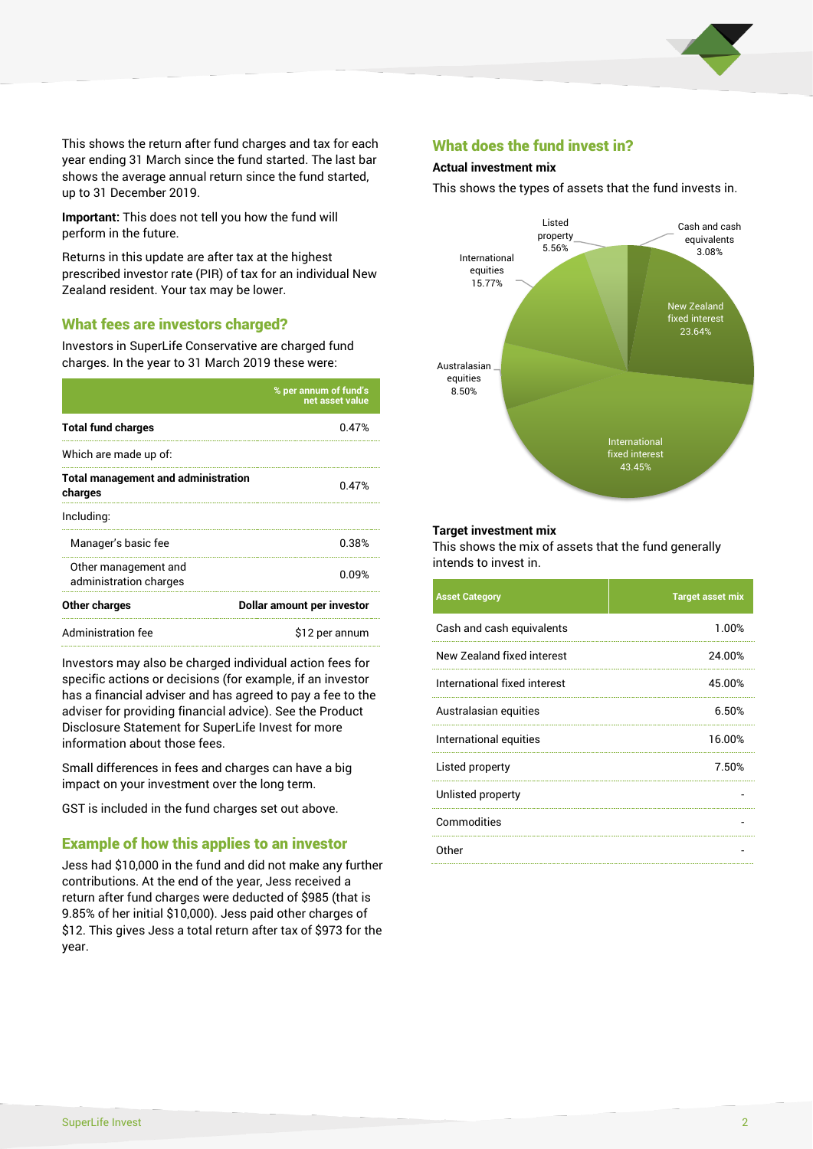

This shows the return after fund charges and tax for each year ending 31 March since the fund started. The last bar shows the average annual return since the fund started, up to 31 December 2019.

**Important:** This does not tell you how the fund will perform in the future.

Returns in this update are after tax at the highest prescribed investor rate (PIR) of tax for an individual New Zealand resident. Your tax may be lower.

#### What fees are investors charged?

Investors in SuperLife Conservative are charged fund charges. In the year to 31 March 2019 these were:

|                                                       | % per annum of fund's<br>net asset value |  |
|-------------------------------------------------------|------------------------------------------|--|
| <b>Total fund charges</b>                             | 0.47%                                    |  |
| Which are made up of:                                 |                                          |  |
| <b>Total management and administration</b><br>charges | 0.47%                                    |  |
| Including:                                            |                                          |  |
| Manager's basic fee                                   | 0.38%                                    |  |
| Other management and<br>administration charges        | 0.09%                                    |  |
| Other charges                                         | Dollar amount per investor               |  |
| Administration fee                                    | \$12 per annum                           |  |

Investors may also be charged individual action fees for specific actions or decisions (for example, if an investor has a financial adviser and has agreed to pay a fee to the adviser for providing financial advice). See the Product Disclosure Statement for SuperLife Invest for more information about those fees.

Small differences in fees and charges can have a big impact on your investment over the long term.

GST is included in the fund charges set out above.

#### Example of how this applies to an investor

Jess had \$10,000 in the fund and did not make any further contributions. At the end of the year, Jess received a return after fund charges were deducted of \$985 (that is 9.85% of her initial \$10,000). Jess paid other charges of \$12. This gives Jess a total return after tax of \$973 for the year.

#### What does the fund invest in?

#### **Actual investment mix**

This shows the types of assets that the fund invests in.



#### **Target investment mix**

This shows the mix of assets that the fund generally intends to invest in.

| <b>Asset Category</b>        | <b>Target asset mix</b> |
|------------------------------|-------------------------|
| Cash and cash equivalents    | 1.00%                   |
| New Zealand fixed interest   | 24.00%                  |
| International fixed interest | 45.00%                  |
| Australasian equities        | 6.50%                   |
| International equities       | 16.00%                  |
| Listed property              | 7.50%                   |
| Unlisted property            |                         |
| Commodities                  |                         |
| Other                        |                         |